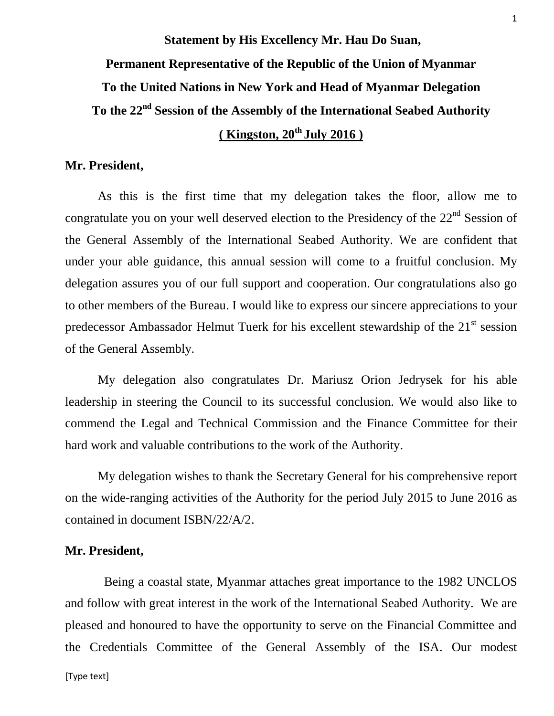**Statement by His Excellency Mr. Hau Do Suan, Permanent Representative of the Republic of the Union of Myanmar To the United Nations in New York and Head of Myanmar Delegation** To the 22<sup>nd</sup> Session of the Assembly of the International Seabed Authority **( Kingston, 20th July 2016 )**

#### **Mr. President,**

As this is the first time that my delegation takes the floor, allow me to congratulate you on your well deserved election to the Presidency of the  $22<sup>nd</sup>$  Session of the General Assembly of the International Seabed Authority. We are confident that under your able guidance, this annual session will come to a fruitful conclusion. My delegation assures you of our full support and cooperation. Our congratulations also go to other members of the Bureau. I would like to express our sincere appreciations to your predecessor Ambassador Helmut Tuerk for his excellent stewardship of the  $21<sup>st</sup>$  session of the General Assembly.

My delegation also congratulates Dr. Mariusz Orion Jedrysek for his able leadership in steering the Council to its successful conclusion. We would also like to commend the Legal and Technical Commission and the Finance Committee for their hard work and valuable contributions to the work of the Authority.

My delegation wishes to thank the Secretary General for his comprehensive report on the wide-ranging activities of the Authority for the period July 2015 to June 2016 as contained in document ISBN/22/A/2.

#### **Mr. President,**

Being a coastal state, Myanmar attaches great importance to the 1982 UNCLOS and follow with great interest in the work of the International Seabed Authority. We are pleased and honoured to have the opportunity to serve on the Financial Committee and the Credentials Committee of the General Assembly of the ISA. Our modest

1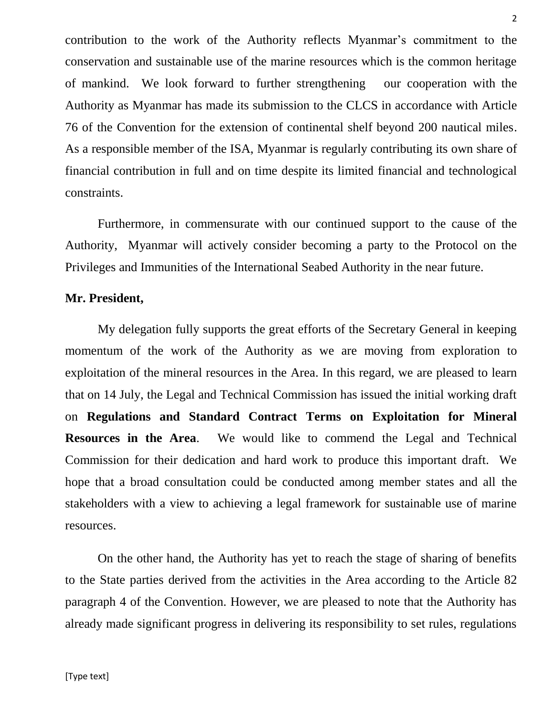contribution to the work of the Authority reflects Myanmar's commitment to the conservation and sustainable use of the marine resources which is the common heritage of mankind. We look forward to further strengthening our cooperation with the Authority as Myanmar has made its submission to the CLCS in accordance with Article 76 of the Convention for the extension of continental shelf beyond 200 nautical miles. As a responsible member of the ISA, Myanmar is regularly contributing its own share of financial contribution in full and on time despite its limited financial and technological constraints.

Furthermore, in commensurate with our continued support to the cause of the Authority, Myanmar will actively consider becoming a party to the Protocol on the Privileges and Immunities of the International Seabed Authority in the near future.

#### **Mr. President,**

My delegation fully supports the great efforts of the Secretary General in keeping momentum of the work of the Authority as we are moving from exploration to exploitation of the mineral resources in the Area. In this regard, we are pleased to learn that on 14 July, the Legal and Technical Commission has issued the initial working draft on **[Regulations and Standard Contract Terms on Exploitation for Mineral](http://bit.ly/29MBDSS)  [Resources in the Area](http://bit.ly/29MBDSS)**. We would like to commend the Legal and Technical Commission for their dedication and hard work to produce this important draft. We hope that a broad consultation could be conducted among member states and all the stakeholders with a view to achieving a legal framework for sustainable use of marine resources.

On the other hand, the Authority has yet to reach the stage of sharing of benefits to the State parties derived from the activities in the Area according to the Article 82 paragraph 4 of the Convention. However, we are pleased to note that the Authority has already made significant progress in delivering its responsibility to set rules, regulations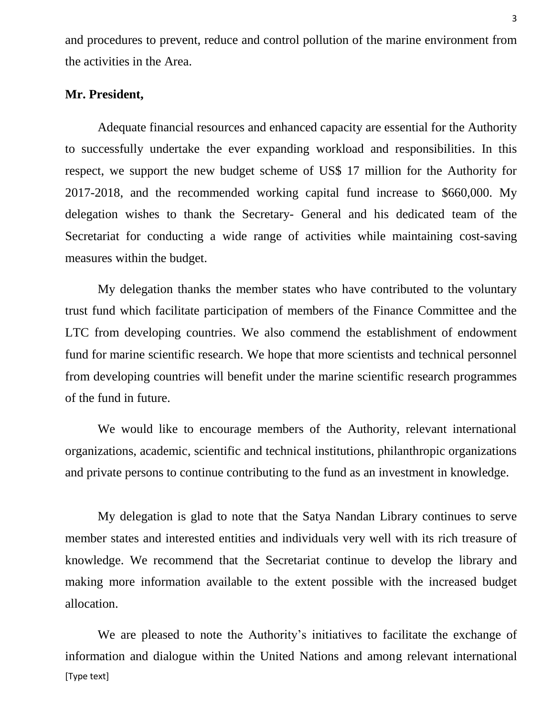and procedures to prevent, reduce and control pollution of the marine environment from the activities in the Area.

### **Mr. President,**

Adequate financial resources and enhanced capacity are essential for the Authority to successfully undertake the ever expanding workload and responsibilities. In this respect, we support the new budget scheme of US\$ 17 million for the Authority for 2017-2018, and the recommended working capital fund increase to \$660,000. My delegation wishes to thank the Secretary- General and his dedicated team of the Secretariat for conducting a wide range of activities while maintaining cost-saving measures within the budget.

My delegation thanks the member states who have contributed to the voluntary trust fund which facilitate participation of members of the Finance Committee and the LTC from developing countries. We also commend the establishment of endowment fund for marine scientific research. We hope that more scientists and technical personnel from developing countries will benefit under the marine scientific research programmes of the fund in future.

We would like to encourage members of the Authority, relevant international organizations, academic, scientific and technical institutions, philanthropic organizations and private persons to continue contributing to the fund as an investment in knowledge.

My delegation is glad to note that the Satya Nandan Library continues to serve member states and interested entities and individuals very well with its rich treasure of knowledge. We recommend that the Secretariat continue to develop the library and making more information available to the extent possible with the increased budget allocation.

[Type text] We are pleased to note the Authority's initiatives to facilitate the exchange of information and dialogue within the United Nations and among relevant international